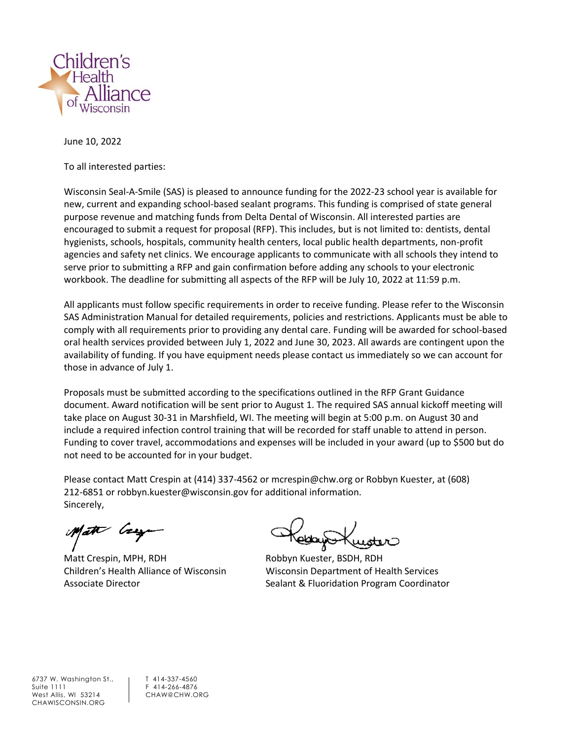

June 10, 2022

To all interested parties:

Wisconsin Seal-A-Smile (SAS) is pleased to announce funding for the 2022-23 school year is available for new, current and expanding school-based sealant programs. This funding is comprised of state general purpose revenue and matching funds from Delta Dental of Wisconsin. All interested parties are encouraged to submit a request for proposal (RFP). This includes, but is not limited to: dentists, dental hygienists, schools, hospitals, community health centers, local public health departments, non-profit agencies and safety net clinics. We encourage applicants to communicate with all schools they intend to serve prior to submitting a RFP and gain confirmation before adding any schools to your electronic workbook. The deadline for submitting all aspects of the RFP will be July 10, 2022 at 11:59 p.m.

All applicants must follow specific requirements in order to receive funding. Please refer to the Wisconsin SAS Administration Manual for detailed requirements, policies and restrictions. Applicants must be able to comply with all requirements prior to providing any dental care. Funding will be awarded for school-based oral health services provided between July 1, 2022 and June 30, 2023. All awards are contingent upon the availability of funding. If you have equipment needs please contact us immediately so we can account for those in advance of July 1.

Proposals must be submitted according to the specifications outlined in the RFP Grant Guidance document. Award notification will be sent prior to August 1. The required SAS annual kickoff meeting will take place on August 30-31 in Marshfield, WI. The meeting will begin at 5:00 p.m. on August 30 and include a required infection control training that will be recorded for staff unable to attend in person. Funding to cover travel, accommodations and expenses will be included in your award (up to \$500 but do not need to be accounted for in your budget.

Please contact Matt Crespin at (414) 337-4562 o[r mcrespin@chw.org](mailto:mcrespin@chw.org) or Robbyn Kuester, at (608) 212-6851 o[r robbyn.kuester@wisconsin.gov](mailto:robbyn.kuester@wisconsin.gov) for additional information. Sincerely,

Matt Cary

Matt Crespin, MPH, RDH ROBB Robbyn Kuester, BSDH, RDH

Children's Health Alliance of Wisconsin Wisconsin Department of Health Services Associate Director **Sealant & Fluoridation Program Coordinator** Sealant & Fluoridation Program Coordinator

T 414-337-4560 F 414-266-4876 CHAW@CHW.ORG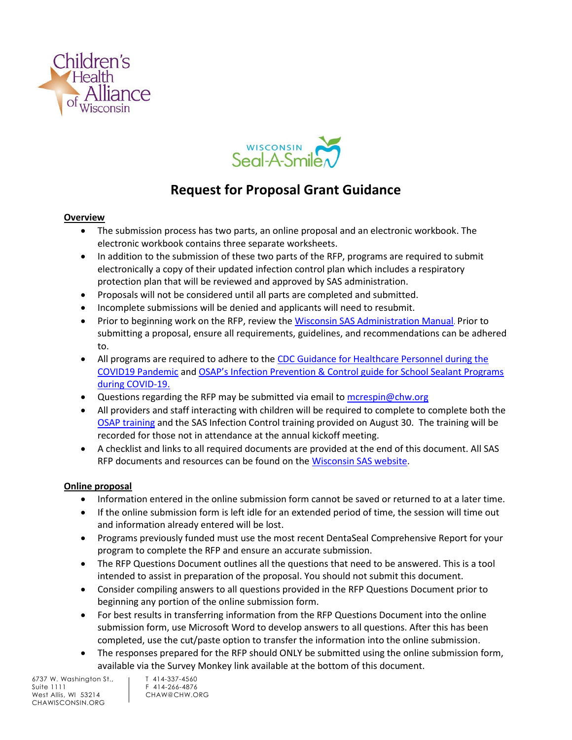



# **Request for Proposal Grant Guidance**

### **Overview**

- The submission process has two parts, an online proposal and an electronic workbook. The electronic workbook contains three separate worksheets.
- In addition to the submission of these two parts of the RFP, programs are required to submit electronically a copy of their updated infection control plan which includes a respiratory protection plan that will be reviewed and approved by SAS administration.
- Proposals will not be considered until all parts are completed and submitted.
- Incomplete submissions will be denied and applicants will need to resubmit.
- Prior to beginning work on the RFP, review th[e Wisconsin SAS Administration Manual](https://www.chawisconsin.org/download/seal-a-smile-admin-manual/?wpdmdl=2025&refresh=62a25314bbf7c1654805268). Prior to submitting a proposal, ensure all requirements, guidelines, and recommendations can be adhered to.
- All programs are required to adhere to the CDC Guidance for [Healthcare Personnel during the](https://www.cdc.gov/coronavirus/2019-ncov/hcp/infection-control-recommendations.html?CDC_AA_refVal=https%3A%2F%2Fwww.cdc.gov%2Fcoronavirus%2F2019-ncov%2Fhcp%2Fdental-settings.html)  [COVID19 Pandemic](https://www.cdc.gov/coronavirus/2019-ncov/hcp/infection-control-recommendations.html?CDC_AA_refVal=https%3A%2F%2Fwww.cdc.gov%2Fcoronavirus%2F2019-ncov%2Fhcp%2Fdental-settings.html) and [OSAP's Infection Prevention & Control guide for School Sealant Programs](https://www.astdd.org/docs/ipc-guide-for-ssp-during-cov.pdf)  [during COVID-19.](https://www.astdd.org/docs/ipc-guide-for-ssp-during-cov.pdf)
- Questions regarding the RFP may be submitted via email t[o mcrespin@chw.org](mailto:mcrespin@chw.org)
- All providers and staff interacting with children will be required to complete to complete both the [OSAP training](https://osap.mclms.net/en/package/4778/view) and the SAS Infection Control training provided on August 30. The training will be recorded for those not in attendance at the annual kickoff meeting.
- A checklist and links to all required documents are provided at the end of this document. All SAS RFP documents and resources can be found on the [Wisconsin SAS website.](http://www.chawisconsin.org/sas)

#### **Online proposal**

- Information entered in the online submission form cannot be saved or returned to at a later time.
- If the online submission form is left idle for an extended period of time, the session will time out and information already entered will be lost.
- Programs previously funded must use the most recent DentaSeal Comprehensive Report for your program to complete the RFP and ensure an accurate submission.
- The RFP Questions Document outlines all the questions that need to be answered. This is a tool intended to assist in preparation of the proposal. You should not submit this document.
- Consider compiling answers to all questions provided in the RFP Questions Document prior to beginning any portion of the online submission form.
- For best results in transferring information from the RFP Questions Document into the online submission form, use Microsoft Word to develop answers to all questions. After this has been completed, use the cut/paste option to transfer the information into the online submission.
- The responses prepared for the RFP should ONLY be submitted using the online submission form, available via the Survey Monkey link available at the bottom of this document.

T 414-337-4560 F 414-266-4876 CHAW@CHW.ORG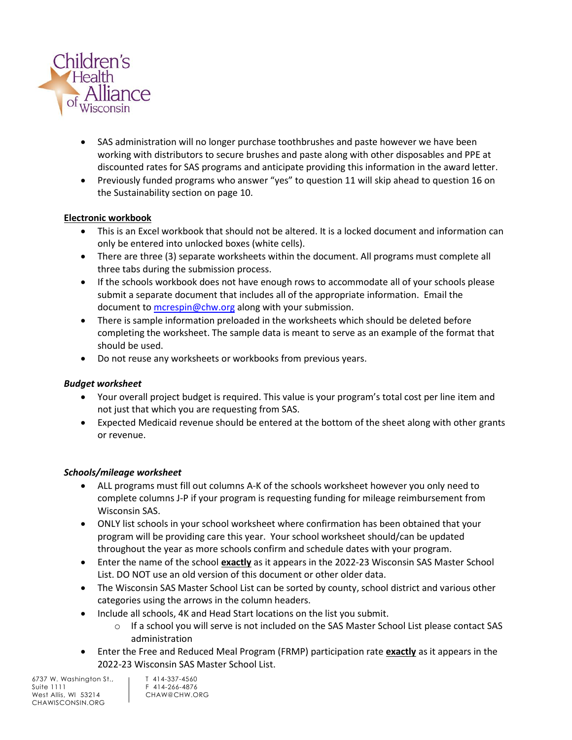

- SAS administration will no longer purchase toothbrushes and paste however we have been working with distributors to secure brushes and paste along with other disposables and PPE at discounted rates for SAS programs and anticipate providing this information in the award letter.
- Previously funded programs who answer "yes" to question 11 will skip ahead to question 16 on the Sustainability section on page 10.

### **Electronic workbook**

- This is an Excel workbook that should not be altered. It is a locked document and information can only be entered into unlocked boxes (white cells).
- There are three (3) separate worksheets within the document. All programs must complete all three tabs during the submission process.
- If the schools workbook does not have enough rows to accommodate all of your schools please submit a separate document that includes all of the appropriate information. Email the document t[o mcrespin@chw.org](mailto:mcrespin@chw.org) along with your submission.
- There is sample information preloaded in the worksheets which should be deleted before completing the worksheet. The sample data is meant to serve as an example of the format that should be used.
- Do not reuse any worksheets or workbooks from previous years.

# *Budget worksheet*

- Your overall project budget is required. This value is your program's total cost per line item and not just that which you are requesting from SAS.
- Expected Medicaid revenue should be entered at the bottom of the sheet along with other grants or revenue.

#### *Schools/mileage worksheet*

- ALL programs must fill out columns A-K of the schools worksheet however you only need to complete columns J-P if your program is requesting funding for mileage reimbursement from Wisconsin SAS.
- ONLY list schools in your school worksheet where confirmation has been obtained that your program will be providing care this year. Your school worksheet should/can be updated throughout the year as more schools confirm and schedule dates with your program.
- Enter the name of the school **exactly** as it appears in the 2022-23 Wisconsin SAS Master School List. DO NOT use an old version of this document or other older data.
- The Wisconsin SAS Master School List can be sorted by county, school district and various other categories using the arrows in the column headers.
- Include all schools, 4K and Head Start locations on the list you submit.
	- $\circ$  If a school you will serve is not included on the SAS Master School List please contact SAS administration
- Enter the Free and Reduced Meal Program (FRMP) participation rate **exactly** as it appears in the 2022-23 Wisconsin SAS Master School List.

T 414-337-4560 F 414-266-4876 CHAW@CHW.ORG